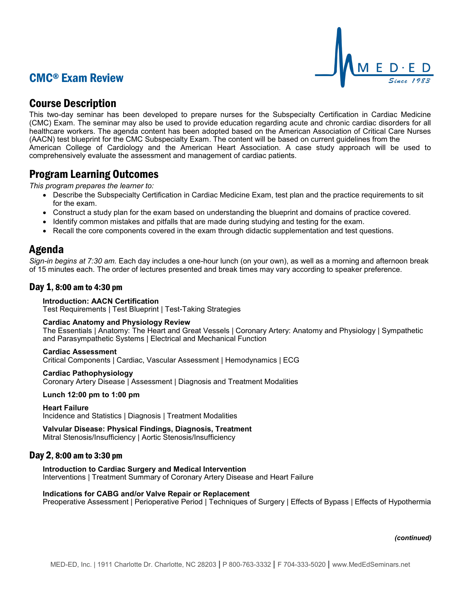# CMC® Exam Review



# Course Description

This two-day seminar has been developed to prepare nurses for the Subspecialty Certification in Cardiac Medicine (CMC) Exam. The seminar may also be used to provide education regarding acute and chronic cardiac disorders for all healthcare workers. The agenda content has been adopted based on the American Association of Critical Care Nurses (AACN) test blueprint for the CMC Subspecialty Exam. The content will be based on current guidelines from the American College of Cardiology and the American Heart Association. A case study approach will be used to comprehensively evaluate the assessment and management of cardiac patients.

# Program Learning Outcomes

*This program prepares the learner to:*

- Describe the Subspecialty Certification in Cardiac Medicine Exam, test plan and the practice requirements to sit for the exam.
- Construct a study plan for the exam based on understanding the blueprint and domains of practice covered.
- Identify common mistakes and pitfalls that are made during studying and testing for the exam.
- Recall the core components covered in the exam through didactic supplementation and test questions.

# Agenda

*Sign-in begins at 7:30 am.* Each day includes a one-hour lunch (on your own), as well as a morning and afternoon break of 15 minutes each. The order of lectures presented and break times may vary according to speaker preference.

# Day 1, 8:00 am to 4:30 pm

# **Introduction: AACN Certification**

Test Requirements | Test Blueprint | Test-Taking Strategies

# **Cardiac Anatomy and Physiology Review**

The Essentials | Anatomy: The Heart and Great Vessels | Coronary Artery: Anatomy and Physiology | Sympathetic and Parasympathetic Systems | Electrical and Mechanical Function

# **Cardiac Assessment**

Critical Components | Cardiac, Vascular Assessment | Hemodynamics | ECG

# **Cardiac Pathophysiology**

Coronary Artery Disease | Assessment | Diagnosis and Treatment Modalities

# **Lunch 12:00 pm to 1:00 pm**

# **Heart Failure**

Incidence and Statistics | Diagnosis | Treatment Modalities

# **Valvular Disease: Physical Findings, Diagnosis, Treatment**

Mitral Stenosis/Insufficiency | Aortic Stenosis/Insufficiency

# Day 2, 8:00 am to 3:30 pm

# **Introduction to Cardiac Surgery and Medical Intervention**

Interventions | Treatment Summary of Coronary Artery Disease and Heart Failure

# **Indications for CABG and/or Valve Repair or Replacement**

Preoperative Assessment | Perioperative Period | Techniques of Surgery | Effects of Bypass | Effects of Hypothermia

*(continued)*